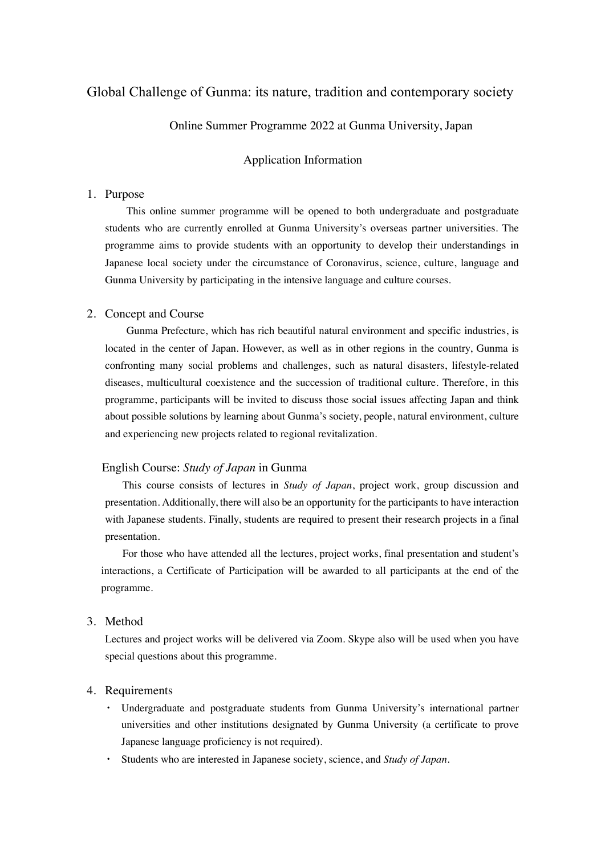# Global Challenge of Gunma: its nature, tradition and contemporary society

Online Summer Programme 2022 at Gunma University, Japan

### Application Information

## 1. Purpose

This online summer programme will be opened to both undergraduate and postgraduate students who are currently enrolled at Gunma University's overseas partner universities. The programme aims to provide students with an opportunity to develop their understandings in Japanese local society under the circumstance of Coronavirus, science, culture, language and Gunma University by participating in the intensive language and culture courses.

#### 2. Concept and Course

Gunma Prefecture, which has rich beautiful natural environment and specific industries, is located in the center of Japan. However, as well as in other regions in the country, Gunma is confronting many social problems and challenges, such as natural disasters, lifestyle-related diseases, multicultural coexistence and the succession of traditional culture. Therefore, in this programme, participants will be invited to discuss those social issues affecting Japan and think about possible solutions by learning about Gunma's society, people, natural environment, culture and experiencing new projects related to regional revitalization.

### English Course: *Study of Japan* in Gunma

 This course consists of lectures in *Study of Japan*, project work, group discussion and presentation. Additionally, there will also be an opportunity for the participants to have interaction with Japanese students. Finally, students are required to present their research projects in a final presentation.

For those who have attended all the lectures, project works, final presentation and student's interactions, a Certificate of Participation will be awarded to all participants at the end of the programme.

## 3. Method

Lectures and project works will be delivered via Zoom. Skype also will be used when you have special questions about this programme.

#### 4. Requirements

- ・ Undergraduate and postgraduate students from Gunma University's international partner universities and other institutions designated by Gunma University (a certificate to prove Japanese language proficiency is not required).
- ・ Students who are interested in Japanese society, science, and *Study of Japan.*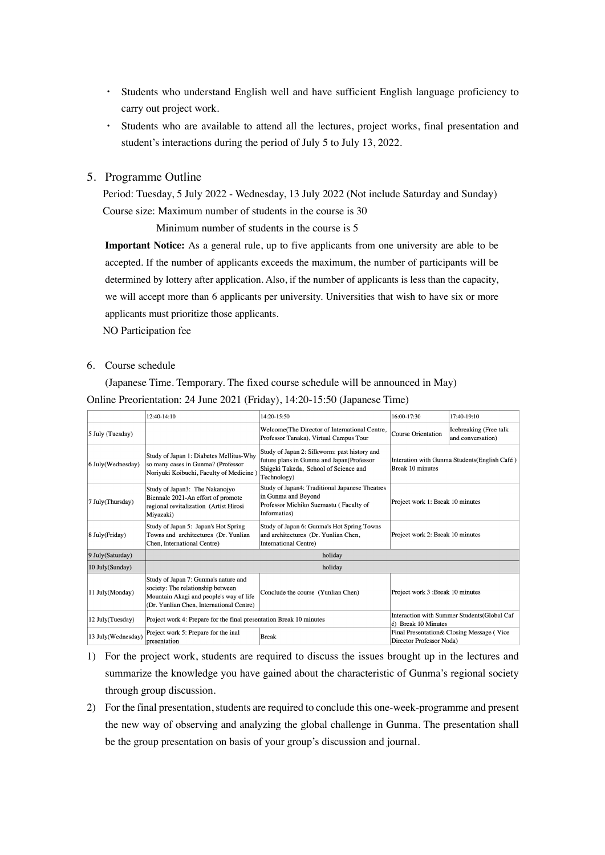- ・ Students who understand English well and have sufficient English language proficiency to carry out project work.
- ・ Students who are available to attend all the lectures, project works, final presentation and student's interactions during the period of July 5 to July 13, 2022.

## 5. Programme Outline

 Period: Tuesday, 5 July 2022 - Wednesday, 13 July 2022 (Not include Saturday and Sunday) Course size: Maximum number of students in the course is 30

Minimum number of students in the course is 5

**Important Notice:** As a general rule, up to five applicants from one university are able to be accepted. If the number of applicants exceeds the maximum, the number of participants will be determined by lottery after application. Also, if the number of applicants is less than the capacity, we will accept more than 6 applicants per university. Universities that wish to have six or more applicants must prioritize those applicants.

NO Participation fee

### 6. Course schedule

(Japanese Time. Temporary. The fixed course schedule will be announced in May) Online Preorientation: 24 June 2021 (Friday), 14:20-15:50 (Japanese Time)

|                    | $12:40-14:10$                                                                                                                                                    | $14:20 - 15:50$                                                                                                                                   | 16:00-17:30                                                       | $17:40-19:10$                               |
|--------------------|------------------------------------------------------------------------------------------------------------------------------------------------------------------|---------------------------------------------------------------------------------------------------------------------------------------------------|-------------------------------------------------------------------|---------------------------------------------|
| 5 July (Tuesday)   |                                                                                                                                                                  | Welcome(The Director of International Centre,<br>Professor Tanaka), Virtual Campus Tour                                                           | Course Orientation                                                | Icebreaking (Free talk<br>and conversation) |
| 6 July(Wednesday)  | Study of Japan 1: Diabetes Mellitus-Why<br>so many cases in Gunma? (Professor<br>Noriyuki Koibuchi, Faculty of Medicine)                                         | Study of Japan 2: Silkworm: past history and<br>future plans in Gunma and Japan(Professor<br>Shigeki Takeda, School of Science and<br>Technology) | Interation with Gunma Students (English Café)<br>Break 10 minutes |                                             |
| 7 July(Thursday)   | Study of Japan3: The Nakanojyo<br>Biennale 2021-An effort of promote<br>regional revitalization (Artist Hirosi<br>Miyazaki)                                      | Study of Japan4: Traditional Japanese Theatres<br>in Gunma and Beyond<br>Professor Michiko Suemastu (Faculty of<br>Informatics)                   | Project work 1: Break 10 minutes                                  |                                             |
| 8 July(Friday)     | Study of Japan 5: Japan's Hot Spring<br>Towns and architectures (Dr. Yunlian<br>Chen, International Centre)                                                      | Study of Japan 6: Gunma's Hot Spring Towns<br>and architectures (Dr. Yunlian Chen,<br><b>International Centre)</b>                                | Project work 2: Break 10 minutes                                  |                                             |
| 9 July(Saturday)   | holiday                                                                                                                                                          |                                                                                                                                                   |                                                                   |                                             |
| 10 July(Sunday)    | holiday                                                                                                                                                          |                                                                                                                                                   |                                                                   |                                             |
| 11 July(Monday)    | Study of Japan 7: Gunma's nature and<br>society: The relationship between<br>Mountain Akagi and people's way of life<br>(Dr. Yunlian Chen, International Centre) | Conclude the course (Yunlian Chen)                                                                                                                | Project work 3: Break 10 minutes                                  |                                             |
| 12 July(Tuesday)   | Project work 4: Prepare for the final presentation Break 10 minutes                                                                                              | é) Break 10 Minutes                                                                                                                               | Interaction with Summer Students(Global Caf                       |                                             |
| 13 July(Wednesday) | Preject work 5: Prepare for the inal<br>presentation                                                                                                             | <b>Break</b>                                                                                                                                      | Director Professor Noda)                                          | Final Presentation& Closing Message (Vice   |

- 1) For the project work, students are required to discuss the issues brought up in the lectures and summarize the knowledge you have gained about the characteristic of Gunma's regional society through group discussion.
- 2) For the final presentation, students are required to conclude this one-week-programme and present the new way of observing and analyzing the global challenge in Gunma. The presentation shall be the group presentation on basis of your group's discussion and journal.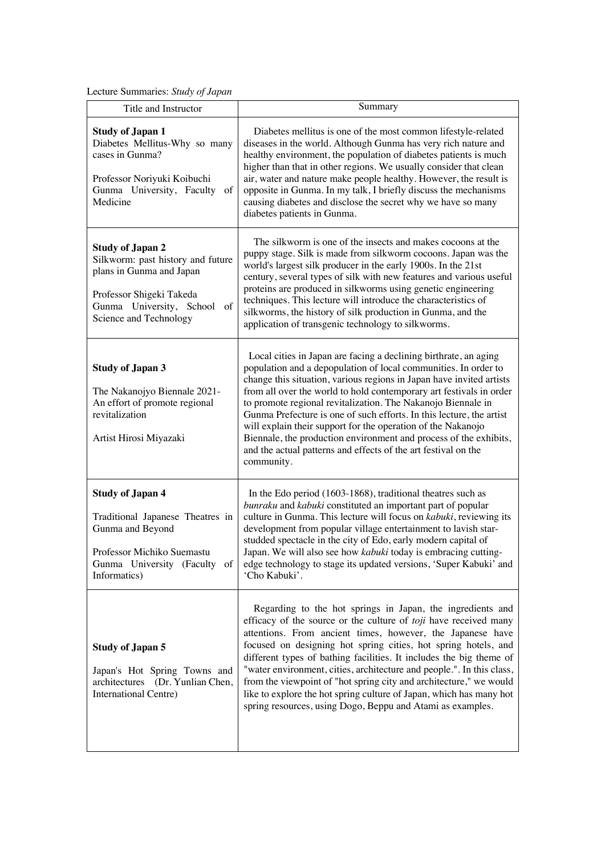Lecture Summaries: *Study of Japan*

| Title and Instructor                                                                                                                                                          | Summary                                                                                                                                                                                                                                                                                                                                                                                                                                                                                                                                                                                                                                         |
|-------------------------------------------------------------------------------------------------------------------------------------------------------------------------------|-------------------------------------------------------------------------------------------------------------------------------------------------------------------------------------------------------------------------------------------------------------------------------------------------------------------------------------------------------------------------------------------------------------------------------------------------------------------------------------------------------------------------------------------------------------------------------------------------------------------------------------------------|
| <b>Study of Japan 1</b><br>Diabetes Mellitus-Why so many<br>cases in Gunma?<br>Professor Noriyuki Koibuchi<br>Gunma University, Faculty of<br>Medicine                        | Diabetes mellitus is one of the most common lifestyle-related<br>diseases in the world. Although Gunma has very rich nature and<br>healthy environment, the population of diabetes patients is much<br>higher than that in other regions. We usually consider that clean<br>air, water and nature make people healthy. However, the result is<br>opposite in Gunma. In my talk, I briefly discuss the mechanisms<br>causing diabetes and disclose the secret why we have so many<br>diabetes patients in Gunma.                                                                                                                                 |
| <b>Study of Japan 2</b><br>Silkworm: past history and future<br>plans in Gunma and Japan<br>Professor Shigeki Takeda<br>Gunma University, School of<br>Science and Technology | The silkworm is one of the insects and makes cocoons at the<br>puppy stage. Silk is made from silkworm cocoons. Japan was the<br>world's largest silk producer in the early 1900s. In the 21st<br>century, several types of silk with new features and various useful<br>proteins are produced in silkworms using genetic engineering<br>techniques. This lecture will introduce the characteristics of<br>silkworms, the history of silk production in Gunma, and the<br>application of transgenic technology to silkworms.                                                                                                                    |
| <b>Study of Japan 3</b><br>The Nakanojyo Biennale 2021-<br>An effort of promote regional<br>revitalization<br>Artist Hirosi Miyazaki                                          | Local cities in Japan are facing a declining birthrate, an aging<br>population and a depopulation of local communities. In order to<br>change this situation, various regions in Japan have invited artists<br>from all over the world to hold contemporary art festivals in order<br>to promote regional revitalization. The Nakanojo Biennale in<br>Gunma Prefecture is one of such efforts. In this lecture, the artist<br>will explain their support for the operation of the Nakanojo<br>Biennale, the production environment and process of the exhibits,<br>and the actual patterns and effects of the art festival on the<br>community. |
| <b>Study of Japan 4</b><br>Traditional Japanese Theatres in<br>Gunma and Beyond<br>Professor Michiko Suemastu<br>Gunma University (Faculty of<br>Informatics)                 | In the Edo period (1603-1868), traditional theatres such as<br>bunraku and kabuki constituted an important part of popular<br>culture in Gunma. This lecture will focus on kabuki, reviewing its<br>development from popular village entertainment to lavish star-<br>studded spectacle in the city of Edo, early modern capital of<br>Japan. We will also see how kabuki today is embracing cutting-<br>edge technology to stage its updated versions, 'Super Kabuki' and<br>'Cho Kabuki'.                                                                                                                                                     |
| <b>Study of Japan 5</b><br>Japan's Hot Spring Towns and<br>architectures (Dr. Yunlian Chen,<br>International Centre)                                                          | Regarding to the hot springs in Japan, the ingredients and<br>efficacy of the source or the culture of toji have received many<br>attentions. From ancient times, however, the Japanese have<br>focused on designing hot spring cities, hot spring hotels, and<br>different types of bathing facilities. It includes the big theme of<br>"water environment, cities, architecture and people.". In this class,<br>from the viewpoint of "hot spring city and architecture," we would<br>like to explore the hot spring culture of Japan, which has many hot<br>spring resources, using Dogo, Beppu and Atami as examples.                       |